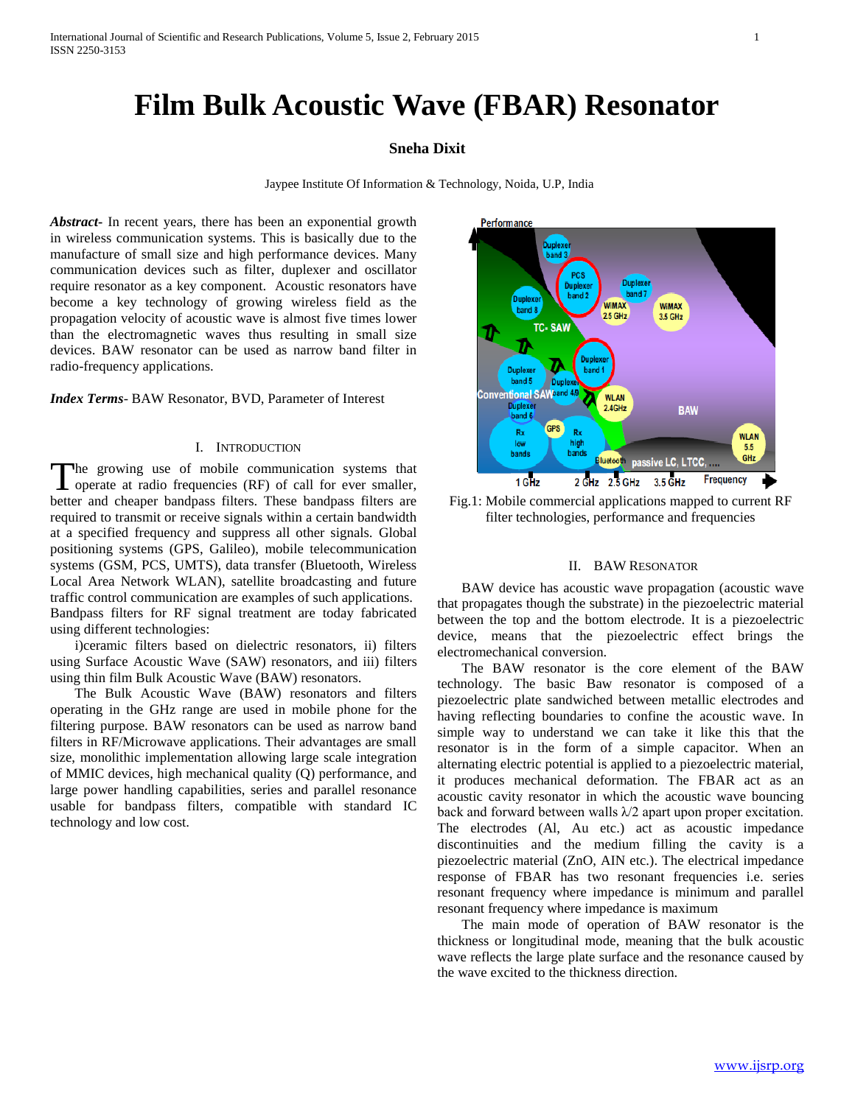# **Film Bulk Acoustic Wave (FBAR) Resonator**

## **Sneha Dixit**

Jaypee Institute Of Information & Technology, Noida, U.P, India

*Abstract***-** In recent years, there has been an exponential growth in wireless communication systems. This is basically due to the manufacture of small size and high performance devices. Many communication devices such as filter, duplexer and oscillator require resonator as a key component. Acoustic resonators have become a key technology of growing wireless field as the propagation velocity of acoustic wave is almost five times lower than the electromagnetic waves thus resulting in small size devices. BAW resonator can be used as narrow band filter in radio-frequency applications.

*Index Terms*- BAW Resonator, BVD, Parameter of Interest

### I. INTRODUCTION

The growing use of mobile communication systems that The growing use of mobile communication systems that operate at radio frequencies (RF) of call for ever smaller, better and cheaper bandpass filters. These bandpass filters are required to transmit or receive signals within a certain bandwidth at a specified frequency and suppress all other signals. Global positioning systems (GPS, Galileo), mobile telecommunication systems (GSM, PCS, UMTS), data transfer (Bluetooth, Wireless Local Area Network WLAN), satellite broadcasting and future traffic control communication are examples of such applications. Bandpass filters for RF signal treatment are today fabricated using different technologies:

 i)ceramic filters based on dielectric resonators, ii) filters using Surface Acoustic Wave (SAW) resonators, and iii) filters using thin film Bulk Acoustic Wave (BAW) resonators.

 The Bulk Acoustic Wave (BAW) resonators and filters operating in the GHz range are used in mobile phone for the filtering purpose. BAW resonators can be used as narrow band filters in RF/Microwave applications. Their advantages are small size, monolithic implementation allowing large scale integration of MMIC devices, high mechanical quality (Q) performance, and large power handling capabilities, series and parallel resonance usable for bandpass filters, compatible with standard IC technology and low cost.



Fig.1: Mobile commercial applications mapped to current RF filter technologies, performance and frequencies

### II. BAW RESONATOR

 BAW device has acoustic wave propagation (acoustic wave that propagates though the substrate) in the piezoelectric material between the top and the bottom electrode. It is a piezoelectric device, means that the piezoelectric effect brings the electromechanical conversion.

 The BAW resonator is the core element of the BAW technology. The basic Baw resonator is composed of a piezoelectric plate sandwiched between metallic electrodes and having reflecting boundaries to confine the acoustic wave. In simple way to understand we can take it like this that the resonator is in the form of a simple capacitor. When an alternating electric potential is applied to a piezoelectric material, it produces mechanical deformation. The FBAR act as an acoustic cavity resonator in which the acoustic wave bouncing back and forward between walls  $\lambda/2$  apart upon proper excitation. The electrodes (Al, Au etc.) act as acoustic impedance discontinuities and the medium filling the cavity is a piezoelectric material (ZnO, AIN etc.). The electrical impedance response of FBAR has two resonant frequencies i.e. series resonant frequency where impedance is minimum and parallel resonant frequency where impedance is maximum

 The main mode of operation of BAW resonator is the thickness or longitudinal mode, meaning that the bulk acoustic wave reflects the large plate surface and the resonance caused by the wave excited to the thickness direction.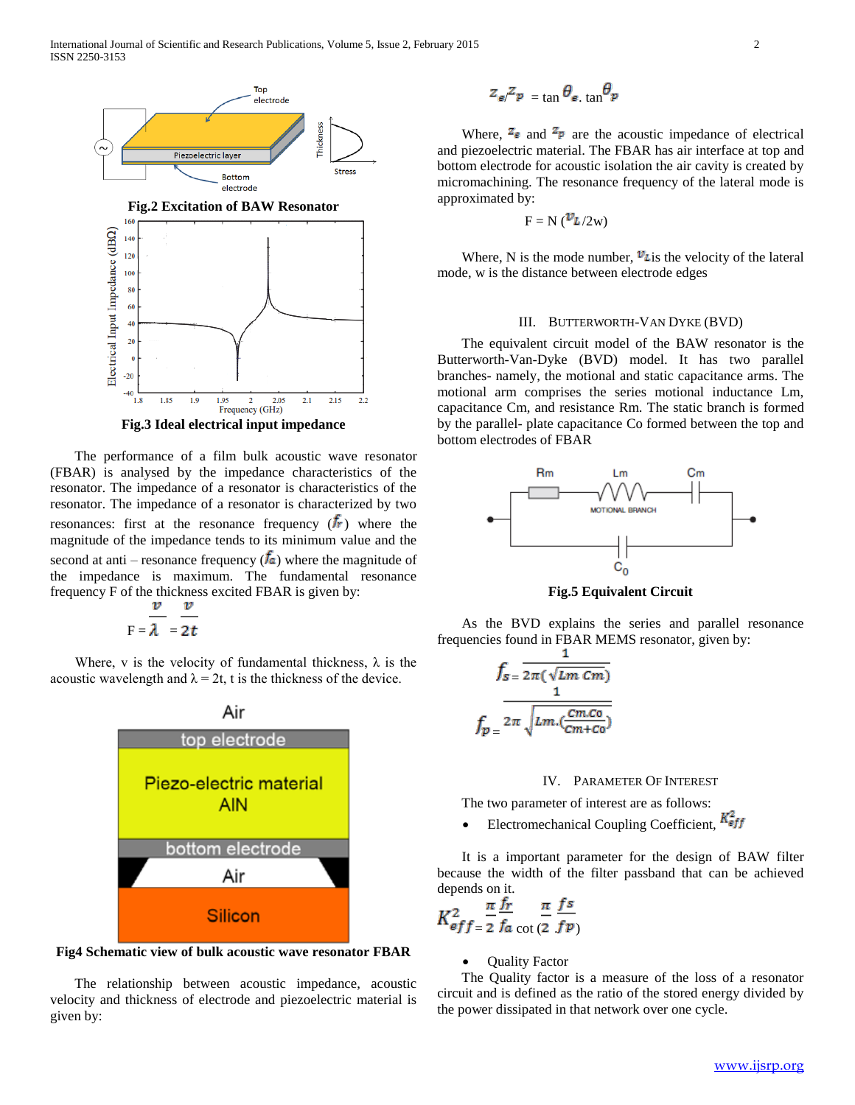

 The performance of a film bulk acoustic wave resonator (FBAR) is analysed by the impedance characteristics of the resonator. The impedance of a resonator is characteristics of the resonator. The impedance of a resonator is characterized by two resonances: first at the resonance frequency  $(f_r)$  where the magnitude of the impedance tends to its minimum value and the second at anti – resonance frequency  $(\bar{f}_a)$  where the magnitude of the impedance is maximum. The fundamental resonance frequency F of the thickness excited FBAR is given by:

$$
F = \frac{v}{\lambda} = \frac{v}{2t}
$$

Where, v is the velocity of fundamental thickness,  $\lambda$  is the acoustic wavelength and  $\lambda = 2t$ , t is the thickness of the device.



**Fig4 Schematic view of bulk acoustic wave resonator FBAR**

 The relationship between acoustic impedance, acoustic velocity and thickness of electrode and piezoelectric material is given by:

$$
z_{\mathbf{e}}z_{\mathbf{p}} = \tan \theta_{\mathbf{e}} \cdot \tan \theta_{\mathbf{p}}
$$

Where,  $\overline{z_e}$  and  $\overline{z_p}$  are the acoustic impedance of electrical and piezoelectric material. The FBAR has air interface at top and bottom electrode for acoustic isolation the air cavity is created by micromachining. The resonance frequency of the lateral mode is approximated by:

$$
F = N \left( \frac{\nu_{L}}{2W} \right)
$$

Where, N is the mode number,  $v_{\text{L}}$  is the velocity of the lateral mode, w is the distance between electrode edges

## III. BUTTERWORTH-VAN DYKE (BVD)

 The equivalent circuit model of the BAW resonator is the Butterworth-Van-Dyke (BVD) model. It has two parallel branches- namely, the motional and static capacitance arms. The motional arm comprises the series motional inductance Lm, capacitance Cm, and resistance Rm. The static branch is formed by the parallel- plate capacitance Co formed between the top and bottom electrodes of FBAR



**Fig.5 Equivalent Circuit**

 As the BVD explains the series and parallel resonance frequencies found in FBAR MEMS resonator, given by:

$$
f_{s=\frac{1}{2\pi(\sqrt{Lm Cm})}}
$$

$$
f_{p=\frac{2\pi}{\sqrt{Lm \cdot (\frac{Cm.Co}{Cm+Co})}}}
$$

#### IV. PARAMETER OF INTEREST

The two parameter of interest are as follows:

Electromechanical Coupling Coefficient,  $K_{eff}^2$ 

 It is a important parameter for the design of BAW filter because the width of the filter passband that can be achieved depends on it.

$$
K_{eff=2}^{2} \frac{\pi}{f_a} \frac{I r}{\cot(2-f p)}
$$

Quality Factor

 The Quality factor is a measure of the loss of a resonator circuit and is defined as the ratio of the stored energy divided by the power dissipated in that network over one cycle.